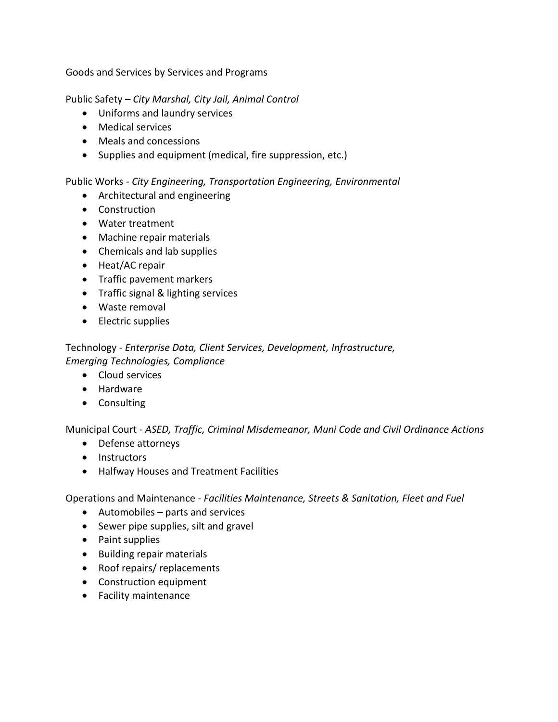Goods and Services by Services and Programs

Public Safety – *City Marshal, City Jail, Animal Control*

- Uniforms and laundry services
- Medical services
- Meals and concessions
- Supplies and equipment (medical, fire suppression, etc.)

## Public Works - *City Engineering, Transportation Engineering, Environmental*

- Architectural and engineering
- Construction
- Water treatment
- Machine repair materials
- Chemicals and lab supplies
- Heat/AC repair
- Traffic pavement markers
- Traffic signal & lighting services
- Waste removal
- Electric supplies

Technology - *Enterprise Data, Client Services, Development, Infrastructure, Emerging Technologies, Compliance* 

- Cloud services
- Hardware
- Consulting

Municipal Court - *ASED, Traffic, Criminal Misdemeanor, Muni Code and Civil Ordinance Actions*

- Defense attorneys
- Instructors
- Halfway Houses and Treatment Facilities

Operations and Maintenance - *Facilities Maintenance, Streets & Sanitation, Fleet and Fuel*

- Automobiles parts and services
- Sewer pipe supplies, silt and gravel
- Paint supplies
- Building repair materials
- Roof repairs/ replacements
- Construction equipment
- Facility maintenance